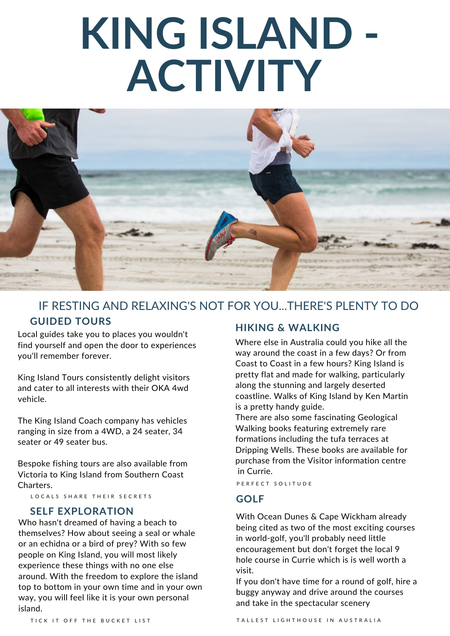# **KING ISLAND - ACTIVITY**



### IF RESTING AND RELAXING'S NOT FOR YOU...THERE'S PLENTY TO DO **GUIDED TOURS**

Local guides take you to places you wouldn't find yourself and open the door to experiences you'll remember forever.

King Island Tours consistently delight visitors and cater to all interests with their OKA 4wd vehicle.

The King Island Coach company has vehicles ranging in size from a 4WD, a 24 seater, 34 seater or 49 seater bus.

Bespoke fishing tours are also available from Victoria to King Island from Southern Coast Charters.

LOCALS SHARE THEIR SECRETS

#### **SELF EXPLORATION**

Who hasn't dreamed of having a beach to themselves? How about seeing a seal or whale or an echidna or a bird of prey? With so few people on King Island, you will most likely experience these things with no one else around. With the freedom to explore the island top to bottom in your own time and in your own way, you will feel like it is your own personal island.

#### **HIKING & WALKING**

Where else in Australia could you hike all the way around the coast in a few days? Or from Coast to Coast in a few hours? King Island is pretty flat and made for walking, particularly along the stunning and largely deserted coastline. Walks of King Island by Ken Martin is a pretty handy guide.

There are also some fascinating Geological Walking books featuring extremely rare formations including the tufa terraces at Dripping Wells. These books are available for purchase from the Visitor information centre in Currie.

P E R F E C T SO L I T U D E

#### **GOLF**

With Ocean Dunes & Cape Wickham already being cited as two of the most exciting courses in world-golf, you'll probably need little encouragement but don't forget the local 9 hole course in Currie which is is well worth a visit.

If you don't have time for a round of golf, hire a buggy anyway and drive around the courses and take in the spectacular scenery

TICK IT OFF THE BUCKET LIST